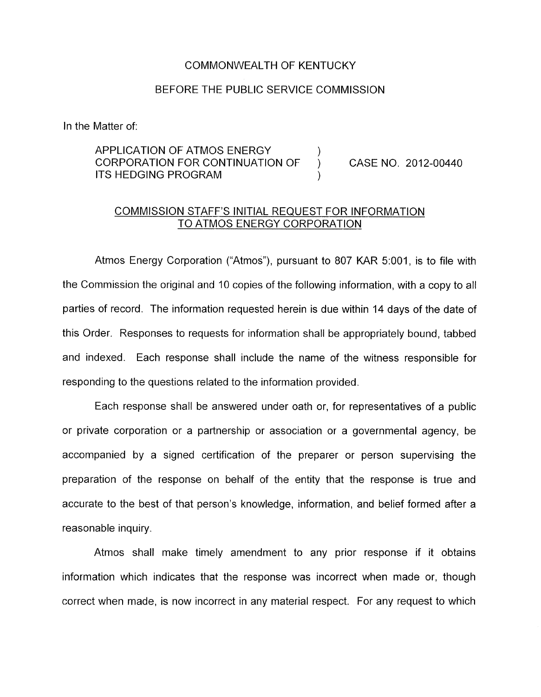### COMMONWEALTH OF KENTUCKY

### BEFORE THE PUBLIC SERVICE COMMISSION

In the Matter of:

## APPLICATION OF ATMOS ENERGY (a)<br>CORPORATION FOR CONTINUATION OF ITS HEDGING PROGRAM ) CORPORATION FOR CONTINUATION OF ) CASE NO. 2012-00440

# COMMISSION STAFF'S INITIAL REQUEST FOR INFORMATION TO ATMOS ENERGY CORPORATION

Atmos Energy Corporation ("Atmos"), pursuant to 807 KAR 5:001, is to file with the Commission the original and 10 copies of the following information, with a copy to all parties of record. The information requested herein is due within 14 days of the date of this Order. Responses to requests for information shall be appropriately bound, tabbed and indexed. Each response shall include the name of the witness responsible for responding to the questions related to the information provided.

Each response shall be answered under oath or, for representatives of a public or private corporation or a partnership or association or a governmental agency, be accompanied by a signed certification of the preparer or person supervising the preparation of the response on behalf of the entity that the response is true and accurate to the best of that person's knowledge, information, and belief formed after a reasonable inquiry.

Atmos shall make timely amendment to any prior response if it obtains information which indicates that the response was incorrect when made or, though correct when made, is now incorrect in any material respect. For any request to which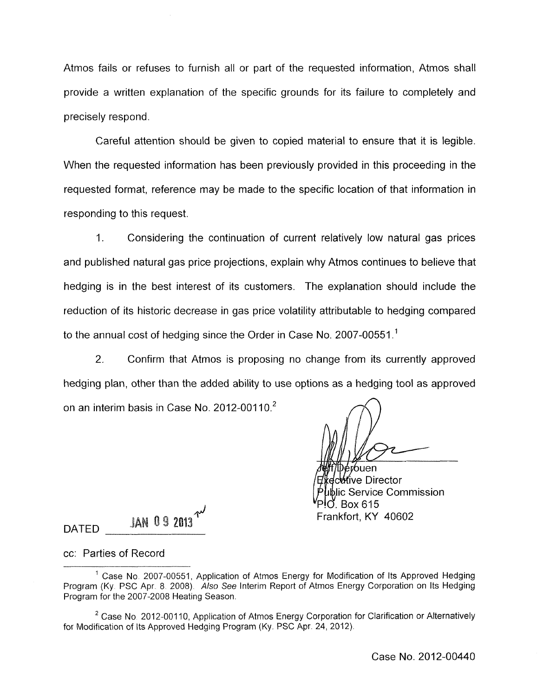Atmos fails or refuses to furnish all or part of the requested information, Atmos shall provide a written explanation of the specific grounds for its failure to completely and precisely respond.

Careful attention should be given to copied material to ensure that it is legible. When the requested information has been previously provided in this proceeding in the requested format, reference may be made to the specific location of that information in responding to this request.

1. Considering the continuation of current relatively low natural gas prices and published natural gas price projections, explain why Atmos continues to believe that hedging is in the best interest of its customers. The explanation should include the reduction of its historic decrease in gas price volatility attributable to hedging compared to the annual cost of hedging since the Order in Case No. 2007-00551.<sup>1</sup>

2. Confirm that Atmos is proposing no change from its currently approved hedging plan, other than the added ability to use options as a hedging tool as approved on an interim basis in Case No. 2012-00110. $2$ 

**i**Der∕ouen **it⁄r**ive Director lic Service Commission Box 615 Frankfort, KY 40602

**JAN 09 2013** DATED

### cc: Parties of Record

<sup>&</sup>lt;sup>1</sup> Case No. 2007-00551, Application of Atmos Energy for Modification of Its Approved Hedging Program (Ky. PSC Apr. 8. 2008). Also See Interim Report of Atmos Energy Corporation on Its Hedging Program for the 2007-2008 Heating Season

 $2$  Case No. 2012-00110, Application of Atmos Energy Corporation for Clarification or Alternatively for Modification of Its Approved Hedging Program (Ky. PSC Apr. 24, 2012).